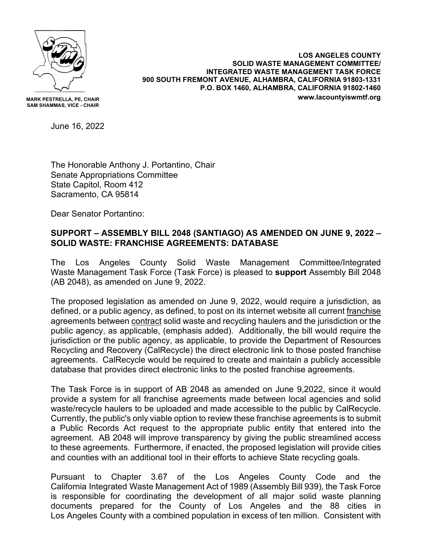

**MARK PESTRELLA, PE, CHAIR SAM SHAMMAS, VICE - CHAIR**

**LOS ANGELES COUNTY SOLID WASTE MANAGEMENT COMMITTEE/ INTEGRATED WASTE MANAGEMENT TASK FORCE 900 SOUTH FREMONT AVENUE, ALHAMBRA, CALIFORNIA 91803-1331 P.O. BOX 1460, ALHAMBRA, CALIFORNIA 91802-1460 www.lacountyiswmtf.org**

June 16, 2022

The Honorable Anthony J. Portantino, Chair Senate Appropriations Committee State Capitol, Room 412 Sacramento, CA 95814

Dear Senator Portantino:

## **SUPPORT – ASSEMBLY BILL 2048 (SANTIAGO) AS AMENDED ON JUNE 9, 2022 – SOLID WASTE: FRANCHISE AGREEMENTS: DATABASE**

The Los Angeles County Solid Waste Management Committee/Integrated Waste Management Task Force (Task Force) is pleased to **support** Assembly Bill 2048 (AB 2048), as amended on June 9, 2022.

The proposed legislation as amended on June 9, 2022, would require a jurisdiction, as defined, or a public agency, as defined, to post on its internet website all current franchise agreements between contract solid waste and recycling haulers and the jurisdiction or the public agency, as applicable, (emphasis added). Additionally, the bill would require the jurisdiction or the public agency, as applicable, to provide the Department of Resources Recycling and Recovery (CalRecycle) the direct electronic link to those posted franchise agreements. CalRecycle would be required to create and maintain a publicly accessible database that provides direct electronic links to the posted franchise agreements.

The Task Force is in support of AB 2048 as amended on June 9,2022, since it would provide a system for all franchise agreements made between local agencies and solid waste/recycle haulers to be uploaded and made accessible to the public by CalRecycle. Currently, the public's only viable option to review these franchise agreements is to submit a Public Records Act request to the appropriate public entity that entered into the agreement. AB 2048 will improve transparency by giving the public streamlined access to these agreements. Furthermore, if enacted, the proposed legislation will provide cities and counties with an additional tool in their efforts to achieve State recycling goals.

Pursuant to Chapter 3.67 of the Los Angeles County Code and the California Integrated Waste Management Act of 1989 (Assembly Bill 939), the Task Force is responsible for coordinating the development of all major solid waste planning documents prepared for the County of Los Angeles and the 88 cities in Los Angeles County with a combined population in excess of ten million. Consistent with